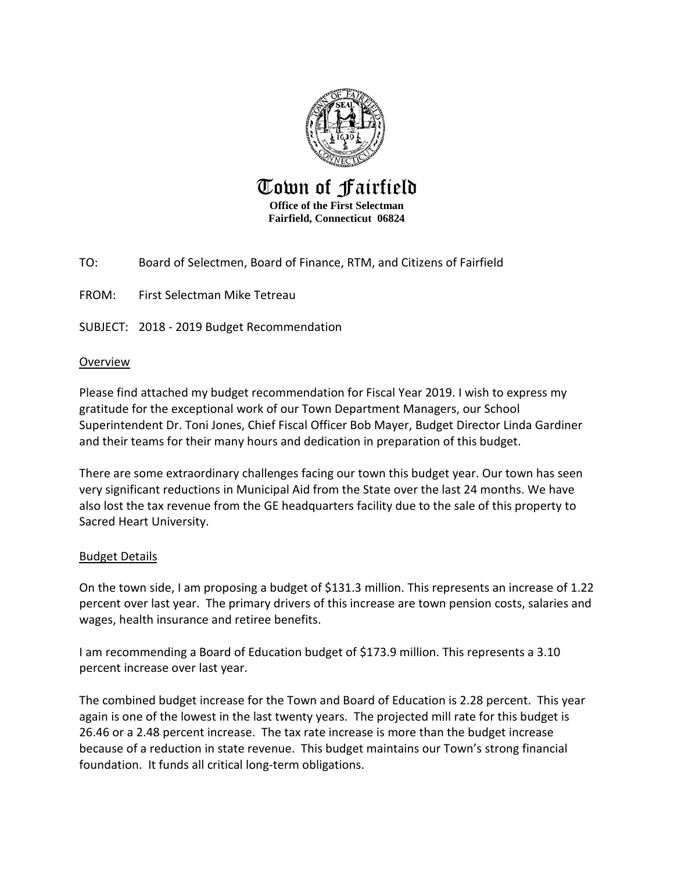

Town of Fairfield **Office of the First Selectman Fairfield, Connecticut 06824**

TO: Board of Selectmen, Board of Finance, RTM, and Citizens of Fairfield

FROM: First Selectman Mike Tetreau

SUBJECT: 2018 - 2019 Budget Recommendation

## Overview

Please find attached my budget recommendation for Fiscal Year 2019. I wish to express my gratitude for the exceptional work of our Town Department Managers, our School Superintendent Dr. Toni Jones, Chief Fiscal Officer Bob Mayer, Budget Director Linda Gardiner and their teams for their many hours and dedication in preparation of this budget.

There are some extraordinary challenges facing our town this budget year. Our town has seen very significant reductions in Municipal Aid from the State over the last 24 months. We have also lost the tax revenue from the GE headquarters facility due to the sale of this property to Sacred Heart University.

## Budget Details

On the town side, I am proposing a budget of \$131.3 million. This represents an increase of 1.22 percent over last year. The primary drivers of this increase are town pension costs, salaries and wages, health insurance and retiree benefits.

I am recommending a Board of Education budget of \$173.9 million. This represents a 3.10 percent increase over last year.

The combined budget increase for the Town and Board of Education is 2.28 percent. This year again is one of the lowest in the last twenty years. The projected mill rate for this budget is 26.46 or a 2.48 percent increase. The tax rate increase is more than the budget increase because of a reduction in state revenue. This budget maintains our Town's strong financial foundation. It funds all critical long-term obligations.